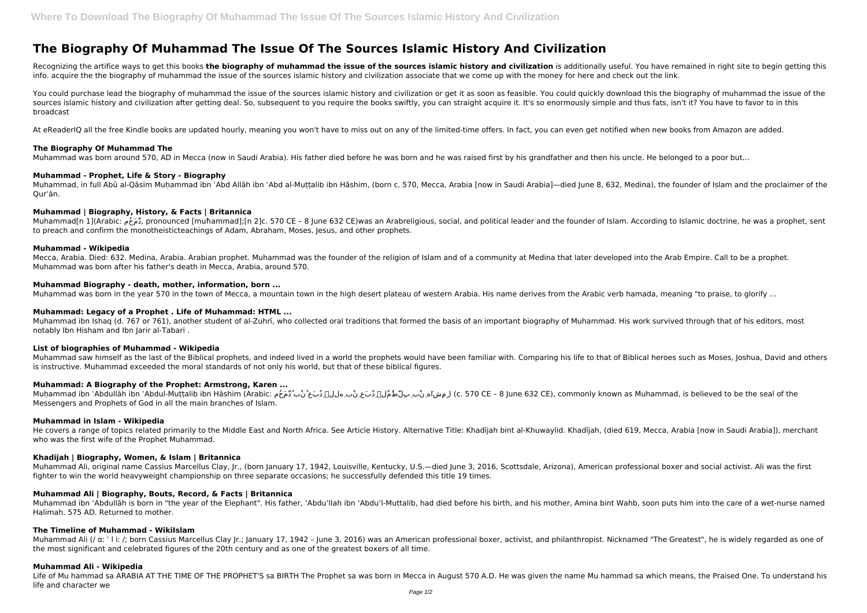# **The Biography Of Muhammad The Issue Of The Sources Islamic History And Civilization**

Recognizing the artifice ways to get this books the biography of muhammad the issue of the sources islamic history and civilization is additionally useful. You have remained in right site to begin getting this info. acquire the the biography of muhammad the issue of the sources islamic history and civilization associate that we come up with the money for here and check out the link.

You could purchase lead the biography of muhammad the issue of the sources islamic history and civilization or get it as soon as feasible. You could quickly download this the biography of muhammad the issue of the sources islamic history and civilization after getting deal. So, subsequent to you require the books swiftly, you can straight acquire it. It's so enormously simple and thus fats, isn't it? You have to favor to in this broadcast

At eReaderIQ all the free Kindle books are updated hourly, meaning you won't have to miss out on any of the limited-time offers. In fact, you can even get notified when new books from Amazon are added.

Muhammad[n 1](Arabic: دَمَ مُومّ, pronounced [muħammad];[n 2]c. 570 CE – 8 June 632 CE)was an Arabreligious, social, and political leader and the founder of Islam. According to Islamic doctrine, he was a prophet, sent to preach and confirm the monotheisticteachings of Adam, Abraham, Moses, Jesus, and other prophets.

## **The Biography Of Muhammad The**

Muhammad was born around 570, AD in Mecca (now in Saudi Arabia). His father died before he was born and he was raised first by his grandfather and then his uncle. He belonged to a poor but...

#### **Muhammad - Prophet, Life & Story - Biography**

Muhammad, in full Abū al-Qāsim Muḥammad ibn ʿAbd Allāh ibn ʿAbd al-Muṭṭalib ibn Hāshim, (born c. 570, Mecca, Arabia [now in Saudi Arabia]—died June 8, 632, Medina), the founder of Islam and the proclaimer of the Qurʾān.

# **Muhammad | Biography, History, & Facts | Britannica**

He covers a range of topics related primarily to the Middle East and North Africa. See Article History. Alternative Title: Khadījah bint al-Khuwaylid. Khadījah, (died 619, Mecca, Arabia [now in Saudi Arabia]), merchant who was the first wife of the Prophet Muhammad.

# **Muhammad - Wikipedia**

Mecca, Arabia. Died: 632. Medina, Arabia. Arabian prophet. Muhammad was the founder of the religion of Islam and of a community at Medina that later developed into the Arab Empire. Call to be a prophet. Muhammad was born after his father's death in Mecca, Arabia, around 570.

# **Muhammad Biography - death, mother, information, born ...**

Muhammad was born in the year 570 in the town of Mecca, a mountain town in the high desert plateau of western Arabia. His name derives from the Arabic verb hamada, meaning "to praise, to glorify ...

Muhammad Ali (/ a: ' l i: /; born Cassius Marcellus Clay Jr.; January 17, 1942 - June 3, 2016) was an American professional boxer, activist, and philanthropist. Nicknamed "The Greatest", he is widely regarded as one of the most significant and celebrated figures of the 20th century and as one of the greatest boxers of all time.

# **Muhammad: Legacy of a Prophet . Life of Muhammad: HTML ...**

Muhammad ibn Ishaq (d. 767 or 761), another student of al-Zuhrī, who collected oral traditions that formed the basis of an important biography of Muhammad. His work survived through that of his editors, most notably Ibn Hisham and Ibn Jarir al-Tabari .

# **List of biographies of Muhammad - Wikipedia**

Muhammad saw himself as the last of the Biblical prophets, and indeed lived in a world the prophets would have been familiar with. Comparing his life to that of Biblical heroes such as Moses, Joshua, David and others is instructive. Muhammad exceeded the moral standards of not only his world, but that of these biblical figures.

# **Muhammad: A Biography of the Prophet: Armstrong, Karen ...**

Muḥammad ibn ʿAbdullāh ibn ʿAbdul-Muṭṭalib ibn Hāshim (Arabic: مُحَمَّدُ بْنُ عَبْدِ هللٱِ بْنِ عَبْدِ لٱْمُطَّلِبِ بْنِ هَشاِمٍ ) (c. 570 CE – 8 June 632 CE), commonly known as Muhammad, is believed to be the seal of the Messengers and Prophets of God in all the main branches of Islam.

#### **Muhammad in Islam - Wikipedia**

#### **Khadijah | Biography, Women, & Islam | Britannica**

Muhammad Ali, original name Cassius Marcellus Clay, Jr., (born January 17, 1942, Louisville, Kentucky, U.S.—died June 3, 2016, Scottsdale, Arizona), American professional boxer and social activist. Ali was the first fighter to win the world heavyweight championship on three separate occasions; he successfully defended this title 19 times.

# **Muhammad Ali | Biography, Bouts, Record, & Facts | Britannica**

Muhammad ibn 'Abdullāh is born in "the year of the Elephant". His father, 'Abdu'llah ibn 'Abdu'l-Muttalib, had died before his birth, and his mother, Amina bint Wahb, soon puts him into the care of a wet-nurse named Halimah. 575 AD. Returned to mother.

# **The Timeline of Muhammad - WikiIslam**

# **Muhammad Ali - Wikipedia**

Life of Mu hammad sa ARABIA AT THE TIME OF THE PROPHET'S sa BIRTH The Prophet sa was born in Mecca in August 570 A.D. He was given the name Mu hammad sa which means, the Praised One. To understand his life and character we